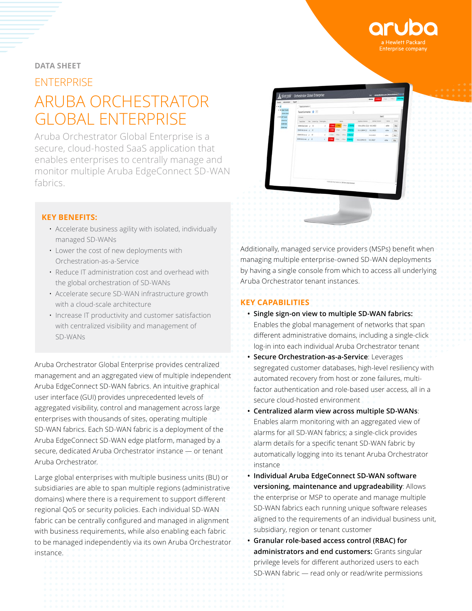

#### **DATA SHEET**

# ENTERPRISE ARUBA ORCHESTRATOR GLOBAL ENTERPRISE

Aruba Orchestrator Global Enterprise is a secure, cloud-hosted SaaS application that enables enterprises to centrally manage and monitor multiple Aruba EdgeConnect SD-WAN fabrics.



- Accelerate business agility with isolated, individually managed SD-WANs
- Lower the cost of new deployments with Orchestration-as-a-Service
- Reduce IT administration cost and overhead with the global orchestration of SD-WANs
- Accelerate secure SD-WAN infrastructure growth with a cloud-scale architecture
- Increase IT productivity and customer satisfaction with centralized visibility and management of SD-WANs

Aruba Orchestrator Global Enterprise provides centralized management and an aggregated view of multiple independent Aruba EdgeConnect SD-WAN fabrics. An intuitive graphical user interface (GUI) provides unprecedented levels of aggregated visibility, control and management across large enterprises with thousands of sites, operating multiple SD-WAN fabrics. Each SD-WAN fabric is a deployment of the Aruba EdgeConnect SD-WAN edge platform, managed by a secure, dedicated Aruba Orchestrator instance — or tenant Aruba Orchestrator.

Large global enterprises with multiple business units (BU) or subsidiaries are able to span multiple regions (administrative domains) where there is a requirement to support different regional QoS or security policies. Each individual SD-WAN fabric can be centrally configured and managed in alignment with business requirements, while also enabling each fabric to be managed independently via its own Aruba Orchestrator instance.



Additionally, managed service providers (MSPs) benefit when managing multiple enterprise-owned SD-WAN deployments by having a single console from which to access all underlying Aruba Orchestrator tenant instances.

# **KEY CAPABILITIES**

- **Single sign-on view to multiple SD-WAN fabrics:** Enables the global management of networks that span different administrative domains, including a single-click log-in into each individual Aruba Orchestrator tenant
- **Secure Orchestration-as-a-Service**: Leverages segregated customer databases, high-level resiliency with automated recovery from host or zone failures, multifactor authentication and role-based user access, all in a secure cloud-hosted environment
- **Centralized alarm view across multiple SD-WANs**: Enables alarm monitoring with an aggregated view of alarms for all SD-WAN fabrics; a single-click provides alarm details for a specific tenant SD-WAN fabric by automatically logging into its tenant Aruba Orchestrator instance
- **Individual Aruba EdgeConnect SD-WAN software versioning, maintenance and upgradeability**: Allows the enterprise or MSP to operate and manage multiple SD-WAN fabrics each running unique software releases aligned to the requirements of an individual business unit, subsidiary, region or tenant customer
- **Granular role-based access control (RBAC) for administrators and end customers:** Grants singular privilege levels for different authorized users to each SD-WAN fabric — read only or read/write permissions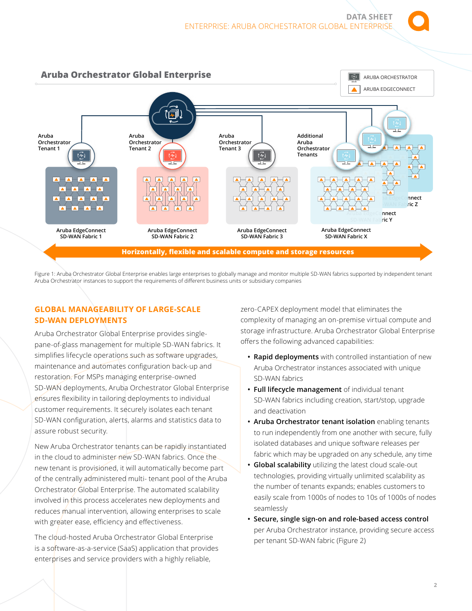

Figure 1: Aruba Orchestrator Global Enterprise enables large enterprises to globally manage and monitor multiple SD-WAN fabrics supported by independent tenant Aruba Orchestrator instances to support the requirements of different business units or subsidiary companies

#### **GLOBAL MANAGEABILITY OF LARGE-SCALE SD-WAN DEPLOYMENTS**

Aruba Orchestrator Global Enterprise provides singlepane-of-glass management for multiple SD-WAN fabrics. It simplifies lifecycle operations such as software upgrades, maintenance and automates configuration back-up and restoration. For MSPs managing enterprise-owned SD-WAN deployments, Aruba Orchestrator Global Enterprise ensures flexibility in tailoring deployments to individual customer requirements. It securely isolates each tenant SD-WAN configuration, alerts, alarms and statistics data to assure robust security.

New Aruba Orchestrator tenants can be rapidly instantiated in the cloud to administer new SD-WAN fabrics. Once the new tenant is provisioned, it will automatically become part of the centrally administered multi- tenant pool of the Aruba Orchestrator Global Enterprise. The automated scalability involved in this process accelerates new deployments and reduces manual intervention, allowing enterprises to scale with greater ease, efficiency and effectiveness.

The cloud-hosted Aruba Orchestrator Global Enterprise is a software-as-a-service (SaaS) application that provides enterprises and service providers with a highly reliable,

zero-CAPEX deployment model that eliminates the complexity of managing an on-premise virtual compute and storage infrastructure. Aruba Orchestrator Global Enterprise offers the following advanced capabilities:

- **Rapid deployments** with controlled instantiation of new Aruba Orchestrator instances associated with unique SD-WAN fabrics
- **Full lifecycle management** of individual tenant SD-WAN fabrics including creation, start/stop, upgrade and deactivation
- **Aruba Orchestrator tenant isolation** enabling tenants to run independently from one another with secure, fully isolated databases and unique software releases per fabric which may be upgraded on any schedule, any time
- **Global scalability** utilizing the latest cloud scale-out technologies, providing virtually unlimited scalability as the number of tenants expands; enables customers to easily scale from 1000s of nodes to 10s of 1000s of nodes seamlessly
- **Secure, single sign-on and role-based access control** per Aruba Orchestrator instance, providing secure access per tenant SD-WAN fabric (Figure 2)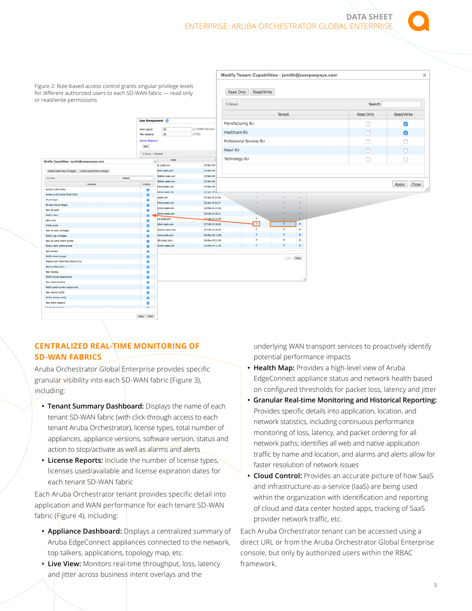**DATA SHEET**  ENTERPRISE: ARUBA ORCHESTRATOR GLOBAL ENTERPRISE

|                                                                                                                                          |                             |                                  |                               |                  | Modify Tenant Capabilities - jsmith@companyxyz.com<br>$\times$ |           |            |           |             |  |  |
|------------------------------------------------------------------------------------------------------------------------------------------|-----------------------------|----------------------------------|-------------------------------|------------------|----------------------------------------------------------------|-----------|------------|-----------|-------------|--|--|
| Figure 2: Role-based access control grants singular privilege levels<br>for different authorized users to each SD-WAN fabric - read only |                             |                                  |                               | Read Only        | Read/Write                                                     |           |            |           |             |  |  |
| or read/write permissions                                                                                                                |                             |                                  |                               | 5 Rows           |                                                                |           |            | Search    |             |  |  |
|                                                                                                                                          |                             |                                  |                               |                  |                                                                | Tenant    |            | Read Only | Read/Write  |  |  |
|                                                                                                                                          | <b>User Management</b>      |                                  |                               | Manufacturing BU |                                                                |           |            | $\Box$    | Ø           |  |  |
|                                                                                                                                          | Auto Logout<br>Max Sessions | 30<br>20                         | (1-10080 minutes)<br>$(5-50)$ | Healthcare BU    |                                                                |           |            | n         | ø           |  |  |
| <b>Active Sessions</b>                                                                                                                   |                             |                                  |                               |                  | Professional Services BU                                       |           | ∩          | o         |             |  |  |
|                                                                                                                                          |                             |                                  | Retail BU                     |                  |                                                                |           | $\Box$     | $\Box$    |             |  |  |
|                                                                                                                                          | 16 Rows, 1 Selected         |                                  |                               | Technology BU    |                                                                |           |            | $\Box$    | $\Box$      |  |  |
| Modify Capabilities - jsmith@companyxyz.com                                                                                              |                             | Email<br>$\times$<br>er-peak.com | 13 Nov 18:                    |                  |                                                                |           |            |           |             |  |  |
| Enable Read Only Privileges Enable Read/Write Privileges                                                                                 |                             | silver-peak.com                  | 15-Nov-18                     |                  |                                                                |           |            |           |             |  |  |
|                                                                                                                                          |                             | Chalver-peak.com                 | 15-Nov-18                     |                  |                                                                |           |            |           |             |  |  |
| 26 Rows                                                                                                                                  | Search                      | Bulver-peak.com                  | 15-Nov-13                     |                  |                                                                |           |            |           |             |  |  |
| Capability                                                                                                                               | Enabled                     | Isilver-peak.com                 | 15-Nov-15                     |                  |                                                                |           |            |           | Apply Close |  |  |
| Access to all tenants                                                                                                                    | ø                           | Isilver-peak.com                 | 22-Jan-19 16                  |                  |                                                                |           |            |           |             |  |  |
| Access to all tenants (Read Only)                                                                                                        | $\bullet$                   | paak.com                         | 22-Jan-19 11:06               |                  |                                                                | in.       | $\propto$  |           |             |  |  |
| All privieges                                                                                                                            | o                           | halver-peak.com                  | 22-Jan-19 11:07               |                  | $\circ$                                                        | o.        | $\times$   |           |             |  |  |
| All read-only privileges                                                                                                                 | $\bullet$                   | Bsilver-peak.com                 | 1B-Feb-19 14:28               |                  | ×                                                              | $\sim$    | $\times$   |           |             |  |  |
| View all users                                                                                                                           | ø                           | (Isilver-peak.com                | 18 Feb-19 15:11               |                  |                                                                | <b>CO</b> | $\times$   |           |             |  |  |
| Modify users                                                                                                                             | a                           | ver-peak.com                     | 21-Feb-19 13:48               |                  | $\Box$                                                         | <b>CO</b> | ×          |           |             |  |  |
| Add a user                                                                                                                               | o                           | laiver peak.com                  | 27-Feb-19 10:28               |                  | $\sqrt{2}$                                                     | p.        | $\times$   |           |             |  |  |
| Delete a user                                                                                                                            | m                           | aBalver-peak.com                 | 27-Feb-19 10:28               |                  | $\sigma$                                                       | a.        | ×          |           |             |  |  |
| View all users' privileges                                                                                                               | ø                           | silver-peak.com                  | 04-Mar-19 13:39               |                  | ø.                                                             | Ø.        | $\times$   |           |             |  |  |
| Modify user privileges                                                                                                                   | m                           | @trustanc.com                    | 04-Mar-19 21:49               |                  | ø.                                                             | in.       | $\times$   |           |             |  |  |
| View all users' tenant access<br>Modify users' tenant access                                                                             | ø                           | bsitve-peak.com                  | 14-Mar-19 12:43               |                  | ø.                                                             | $\sigma$  | $\times$   |           |             |  |  |
| Add a timeral                                                                                                                            | ø                           |                                  |                               |                  |                                                                |           |            |           |             |  |  |
| Modify tenant groups                                                                                                                     | ø                           |                                  |                               |                  |                                                                |           |            |           |             |  |  |
| Register with Silver Peak Cloud Portal                                                                                                   | ø                           |                                  |                               |                  |                                                                |           | Joshy Dose |           |             |  |  |
| Alarm configuration                                                                                                                      | ø                           |                                  |                               |                  |                                                                |           |            |           |             |  |  |
| View kerses                                                                                                                              | $\bullet$<br>ø              |                                  |                               |                  |                                                                |           |            |           |             |  |  |
| Modify license assignments                                                                                                               | $\bullet$                   |                                  |                               |                  |                                                                |           |            |           |             |  |  |
| View serial numbers                                                                                                                      | $\bullet$                   |                                  |                               |                  |                                                                |           |            |           |             |  |  |
| Modify serial number assignments                                                                                                         | $\mathbf{c}$                |                                  |                               |                  |                                                                |           |            |           |             |  |  |
| View session config                                                                                                                      | o                           |                                  |                               |                  |                                                                |           |            |           |             |  |  |
| Modify session config                                                                                                                    | $\overline{a}$              |                                  |                               |                  |                                                                |           |            |           |             |  |  |
| View active sessions                                                                                                                     | $\bullet$                   |                                  |                               |                  |                                                                |           |            |           |             |  |  |
| Channels who is because                                                                                                                  |                             |                                  |                               |                  |                                                                |           |            |           |             |  |  |
|                                                                                                                                          |                             |                                  |                               |                  |                                                                |           |            |           |             |  |  |

# **CENTRALIZED REAL-TIME MONITORING OF SD-WAN FABRICS**

Aruba Orchestrator Global Enterprise provides specific granular visibility into each SD-WAN fabric (Figure 3), including:

- **Tenant Summary Dashboard:** Displays the name of each tenant SD-WAN fabric (with click-through access to each tenant Aruba Orchestrator), license types, total number of appliances, appliance versions, software version, status and action to stop/activate as well as alarms and alerts
- **License Reports:** Include the number of license types, licenses used/available and license expiration dates for each tenant SD-WAN fabric

Each Aruba Orchestrator tenant provides specific detail into application and WAN performance for each tenant SD-WAN fabric (Figure 4), including:

- **Appliance Dashboard:** Displays a centralized summary of Aruba EdgeConnect appliances connected to the network, top talkers, applications, topology map, etc.
- **Live View:** Monitors real-time throughput, loss, latency and jitter across business intent overlays and the

underlying WAN transport services to proactively identify potential performance impacts

- **Health Map:** Provides a high-level view of Aruba EdgeConnect appliance status and network health based on configured thresholds for packet loss, latency and jitter
- **Granular Real-time Monitoring and Historical Reporting:** Provides specific details into application, location, and network statistics, including continuous performance monitoring of loss, latency, and packet ordering for all network paths; identifies all web and native application traffic by name and location, and alarms and alerts allow for faster resolution of network issues
- **Cloud Control:** Provides an accurate picture of how SaaS and infrastructure-as-a-service (IaaS) are being used within the organization with identification and reporting of cloud and data center hosted apps, tracking of SaaS provider network traffic, etc.

Each Aruba Orchestrator tenant can be accessed using a direct URL or from the Aruba Orchestrator Global Enterprise console, but only by authorized users within the RBAC framework.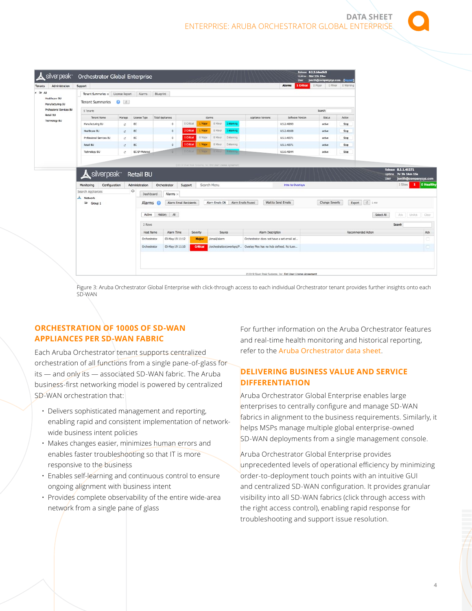|                                                               |                                   |                   |               |                         |               |         |         |                  |                    | <b>Alarms</b> | User<br>1 Critical | jsmith@companyxyz.com<br>0 Major | <b>Bogout</b><br>0 Warring<br>D Minor |
|---------------------------------------------------------------|-----------------------------------|-------------------|---------------|-------------------------|---------------|---------|---------|------------------|--------------------|---------------|--------------------|----------------------------------|---------------------------------------|
| Tenants<br>Administration                                     | Support                           |                   |               |                         |               |         |         |                  |                    |               |                    |                                  |                                       |
| $\sim$ All                                                    | Tenant Summarkes x License Report |                   | Alarms        | Blueprint               |               |         |         |                  |                    |               |                    |                                  |                                       |
| Healthcare BU<br>Manufacturing BU                             | <b>Tenant Summaries</b>           | $\bullet$ $\circ$ |               |                         |               |         |         |                  |                    |               |                    |                                  |                                       |
| Professional Services BU<br><b>Retail BU</b><br>Technology BU | 5 Tenants                         |                   |               |                         |               |         |         |                  |                    | Search        |                    |                                  |                                       |
|                                                               | Tenant Name                       | Manage            | License Type  | <b>Total Appliances</b> | <b>Alarms</b> |         |         |                  | Appliance Versions |               | Software Version   | Status                           | Action                                |
|                                                               | Manufacturing BJ                  | t2                | EC.           | $\circ$                 | 0 Critical    | 1 Major | 0 Minor | 1 Warning        |                    | 8.5.2.40093   |                    | active                           | Stop                                  |
|                                                               | Healthcare BU                     | e.                | <b>EC</b>     | $\circ$                 | 2 Critical    | Major   | 0 Minor | 1 Warning        |                    | 8.5.2.40108   |                    | active                           | Stop                                  |
|                                                               | Professional Services BU          | $\mathbb{R}^3$    | <b>EC</b>     | $\circ$                 | 1 Critical    | 0 Major | 0 Minor | 0 Warning        |                    | 8.5.1.40371   |                    | active                           | S <sub>500</sub>                      |
|                                                               | Rotal BU                          | $\mathbb{C}^2$    | <b>EC</b>     | $\circ$                 | 1 Critical    | Major   | 0 Minor | 0 Warning        |                    | 8.5.1.40371   |                    | active                           | Stop                                  |
|                                                               | Technology BU                     | e.                | EC-SP-Motored | $\Omega$                | 0 O'Blail     | 1 Major | 0 Minor | <b>4 Warning</b> |                    | 8.5.6.40044   |                    | active                           | Stop                                  |

| Ů<br>Search Appliances<br>Network | Dashboard          |                        |                 |                           |                                            |                    |                 |     |  |
|-----------------------------------|--------------------|------------------------|-----------------|---------------------------|--------------------------------------------|--------------------|-----------------|-----|--|
|                                   |                    | Alarms $\times$        |                 |                           |                                            |                    |                 |     |  |
| ๛<br>Group 1                      | Alarms @           | Alarm Email Recipients |                 | Alarm Emails ON           | Wait to Send Emails<br>Alarm Emails Paused |                    |                 |     |  |
|                                   | Active History All |                        |                 |                           |                                            | Select All         | Ack UnAck Clear |     |  |
|                                   | 2 Rows             | Search                 |                 |                           |                                            |                    |                 |     |  |
|                                   | Host Name          | Alarm Time             | Severity        | Source                    | Alarm Description                          | Recommended Action |                 | Act |  |
|                                   | Orchestrator       | 03-May-19 11:12        | <b>Major</b>    | /email/alarm              | Orchestrator does not have a set email ad  |                    |                 |     |  |
|                                   | Orchestrator       | 03-May-19 11:10        | <b>Critical</b> | /orchestration/overlays/P | Overlay Plex has no hub defined. No tunn   |                    |                 |     |  |
|                                   |                    |                        |                 |                           |                                            |                    |                 |     |  |

Figure 3: Aruba Orchestrator Global Enterprise with click-through access to each individual Orchestrator tenant provides further insights onto each SD-WAN

# **ORCHESTRATION OF 1000S OF SD-WAN APPLIANCES PER SD-WAN FABRIC**

Each Aruba Orchestrator tenant supports centralized orchestration of all functions from a single pane-of-glass for its — and only its — associated SD-WAN fabric. The Aruba business-first networking model is powered by centralized SD-WAN orchestration that:

- Delivers sophisticated management and reporting, enabling rapid and consistent implementation of networkwide business intent policies
- Makes changes easier, minimizes human errors and enables faster troubleshooting so that IT is more responsive to the business
- Enables self-learning and continuous control to ensure ongoing alignment with business intent
- Provides complete observability of the entire wide-area network from a single pane of glass

For further information on the Aruba Orchestrator features and real-time health monitoring and historical reporting, refer to the [Aruba Orchestrator data sheet](https://www.arubanetworks.com/assets/ds/DS_Orchestrator.pdf).

# **DELIVERING BUSINESS VALUE AND SERVICE DIFFERENTIATION**

Aruba Orchestrator Global Enterprise enables large enterprises to centrally configure and manage SD-WAN fabrics in alignment to the business requirements. Similarly, it helps MSPs manage multiple global enterprise-owned SD-WAN deployments from a single management console.

Aruba Orchestrator Global Enterprise provides unprecedented levels of operational efficiency by minimizing order-to-deployment touch points with an intuitive GUI and centralized SD-WAN configuration. It provides granular visibility into all SD-WAN fabrics (click through access with the right access control), enabling rapid response for troubleshooting and support issue resolution.